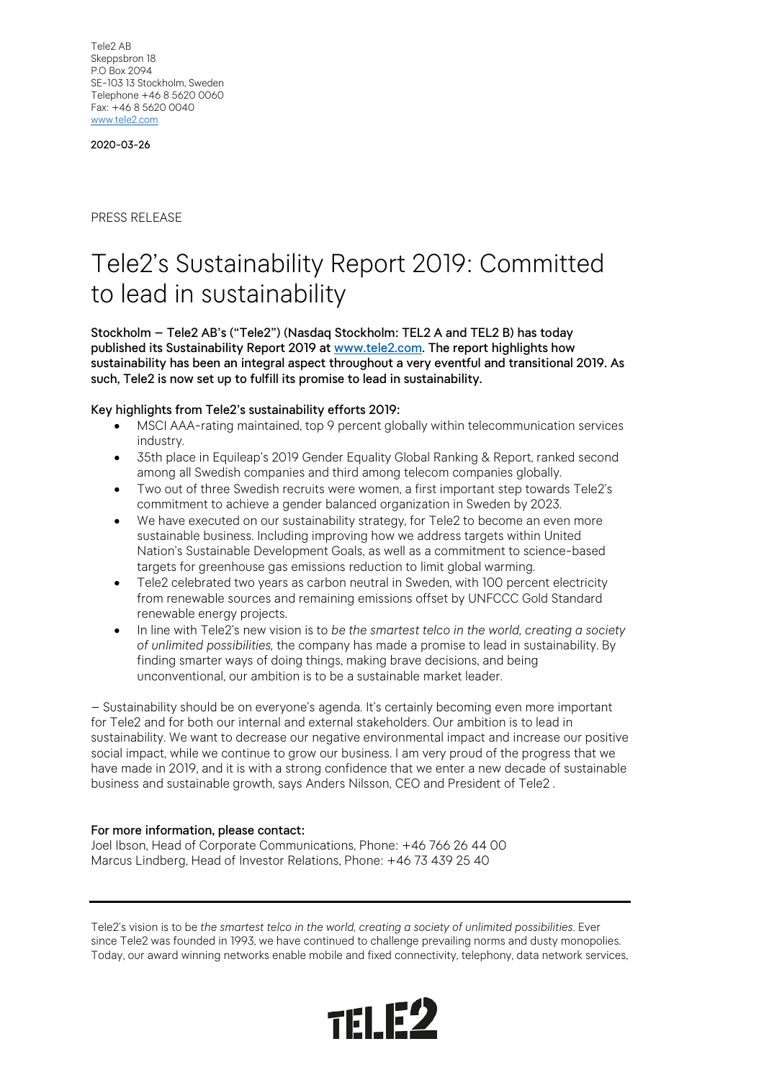Tele2 AB Skeppsbron 18 P.O Box 2094 SE-103 13 Stockholm, Sweden Telephone +46 8 5620 0060 Fax: +46 8 5620 0040 [www.tele2.com](http://www.tele2.com/)

2020-03-26

PRESS RELEASE

## Tele2's Sustainability Report 2019: Committed to lead in sustainability

Stockholm – Tele2 AB's ("Tele2") (Nasdaq Stockholm: TEL2 A and TEL2 B) has today published its Sustainability Report 2019 a[t www.tele2.com.](http://www.tele2.com/) The report highlights how sustainability has been an integral aspect throughout a very eventful and transitional 2019. As such, Tele2 is now set up to fulfill its promise to lead in sustainability.

## Key highlights from Tele2's sustainability efforts 2019:

- MSCI AAA-rating maintained, top 9 percent globally within telecommunication services industry.
- 35th place in Equileap's 2019 Gender Equality Global Ranking & Report, ranked second among all Swedish companies and third among telecom companies globally.
- Two out of three Swedish recruits were women, a first important step towards Tele2's commitment to achieve a gender balanced organization in Sweden by 2023.
- We have executed on our sustainability strategy, for Tele2 to become an even more sustainable business. Including improving how we address targets within United Nation's Sustainable Development Goals, as well as a commitment to science-based targets for greenhouse gas emissions reduction to limit global warming.
- Tele2 celebrated two years as carbon neutral in Sweden, with 100 percent electricity from renewable sources and remaining emissions offset by UNFCCC Gold Standard renewable energy projects.
- In line with Tele2's new vision is to *be the smartest telco in the world, creating a society of unlimited possibilities,* the company has made a promise to lead in sustainability. By finding smarter ways of doing things, making brave decisions, and being unconventional, our ambition is to be a sustainable market leader.

– Sustainability should be on everyone's agenda. It's certainly becoming even more important for Tele2 and for both our internal and external stakeholders. Our ambition is to lead in sustainability. We want to decrease our negative environmental impact and increase our positive social impact, while we continue to grow our business. I am very proud of the progress that we have made in 2019, and it is with a strong confidence that we enter a new decade of sustainable business and sustainable growth, says Anders Nilsson, CEO and President of Tele2 .

## For more information, please contact:

Joel Ibson, Head of Corporate Communications, Phone: +46 766 26 44 00 Marcus Lindberg, Head of Investor Relations, Phone: +46 73 439 25 40

Tele2's vision is to be *the smartest telco in the world, creating a society of unlimited possibilities*. Ever since Tele2 was founded in 1993, we have continued to challenge prevailing norms and dusty monopolies. Today, our award winning networks enable mobile and fixed connectivity, telephony, data network services,